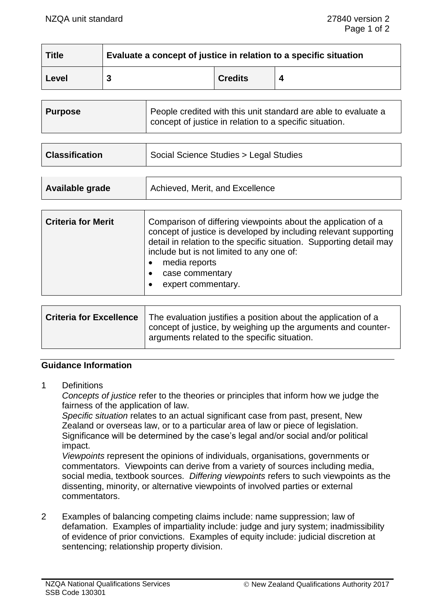| <b>Title</b> | Evaluate a concept of justice in relation to a specific situation |                |  |
|--------------|-------------------------------------------------------------------|----------------|--|
| Level        |                                                                   | <b>Credits</b> |  |

| <b>Purpose</b> | People credited with this unit standard are able to evaluate a<br>concept of justice in relation to a specific situation. |
|----------------|---------------------------------------------------------------------------------------------------------------------------|
|----------------|---------------------------------------------------------------------------------------------------------------------------|

| <b>Classification</b> | Social Science Studies > Legal Studies |
|-----------------------|----------------------------------------|
|                       |                                        |

| Achieved, Merit, and Excellence<br>Available grade |
|----------------------------------------------------|
|----------------------------------------------------|

| <b>Criteria for Merit</b> | Comparison of differing viewpoints about the application of a<br>concept of justice is developed by including relevant supporting<br>detail in relation to the specific situation. Supporting detail may<br>include but is not limited to any one of:<br>media reports<br>case commentary<br>expert commentary. |
|---------------------------|-----------------------------------------------------------------------------------------------------------------------------------------------------------------------------------------------------------------------------------------------------------------------------------------------------------------|
|---------------------------|-----------------------------------------------------------------------------------------------------------------------------------------------------------------------------------------------------------------------------------------------------------------------------------------------------------------|

| Criteria for Excellence | The evaluation justifies a position about the application of a<br>concept of justice, by weighing up the arguments and counter- |
|-------------------------|---------------------------------------------------------------------------------------------------------------------------------|
|                         | arguments related to the specific situation.                                                                                    |

### **Guidance Information**

1 Definitions

*Concepts of justice* refer to the theories or principles that inform how we judge the fairness of the application of law.

*Specific situation* relates to an actual significant case from past, present, New Zealand or overseas law, or to a particular area of law or piece of legislation. Significance will be determined by the case's legal and/or social and/or political impact.

*Viewpoints* represent the opinions of individuals, organisations, governments or commentators. Viewpoints can derive from a variety of sources including media, social media, textbook sources. *Differing viewpoints* refers to such viewpoints as the dissenting, minority, or alternative viewpoints of involved parties or external commentators.

2 Examples of balancing competing claims include: name suppression; law of defamation. Examples of impartiality include: judge and jury system; inadmissibility of evidence of prior convictions. Examples of equity include: judicial discretion at sentencing; relationship property division.